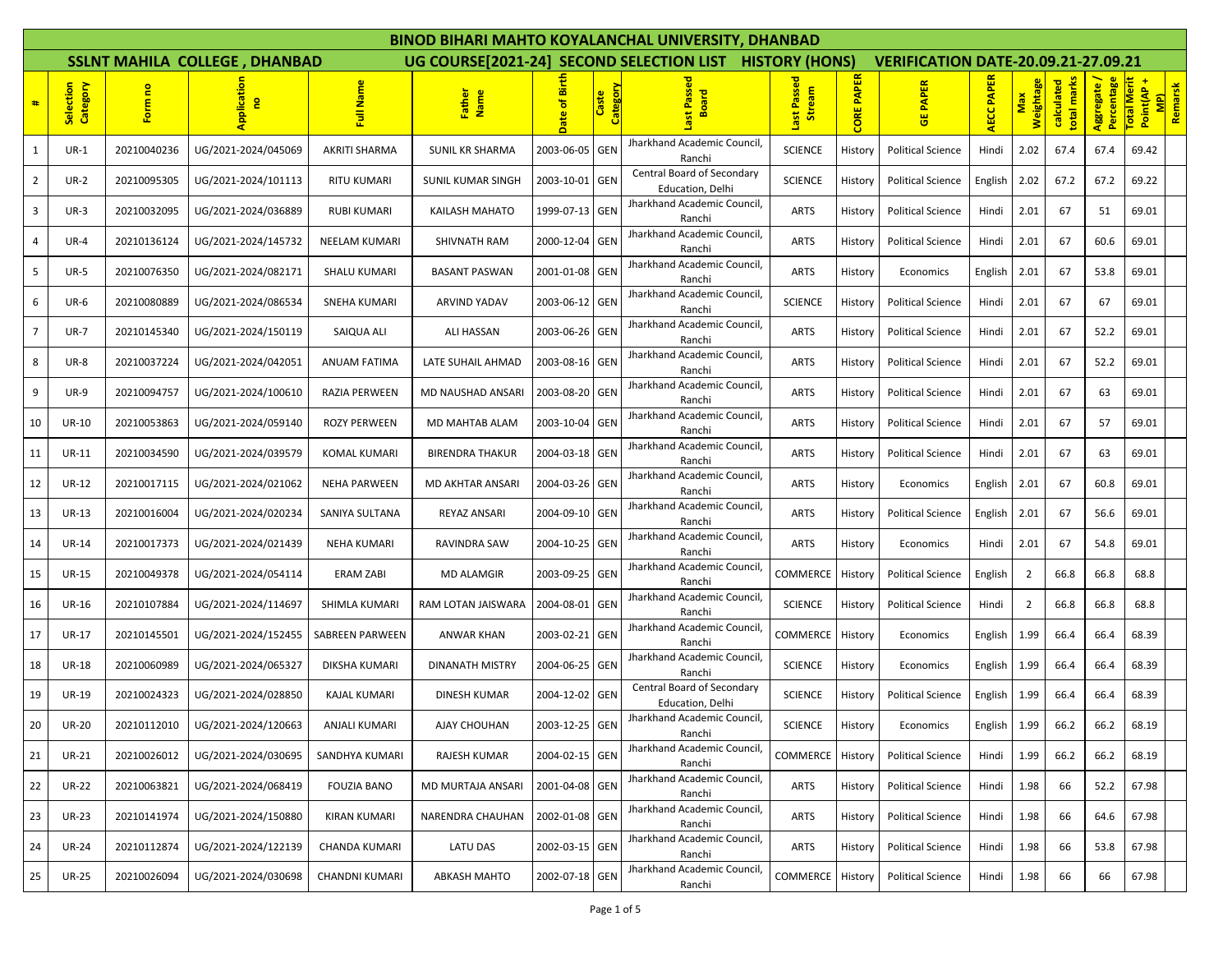|                |                       |             |                                      |                      |                                          |                                     |                          | BINOD BIHARI MAHTO KOYALANCHAL UNIVERSITY, DHANBAD     |                       |                   |                                            |            |                         |                           |                           |                                 |         |
|----------------|-----------------------|-------------|--------------------------------------|----------------------|------------------------------------------|-------------------------------------|--------------------------|--------------------------------------------------------|-----------------------|-------------------|--------------------------------------------|------------|-------------------------|---------------------------|---------------------------|---------------------------------|---------|
|                |                       |             | <b>SSLNT MAHILA COLLEGE, DHANBAD</b> |                      | UG COURSE[2021-24] SECOND SELECTION LIST |                                     |                          |                                                        | <b>HISTORY (HONS)</b> |                   | <b>VERIFICATION DATE-20.09.21-27.09.21</b> |            |                         |                           |                           |                                 |         |
| #              | Selection<br>Category | Form no     | pplication<br>g                      | Full Name            | Father<br>Name                           | 富<br>$\overline{\bullet}$<br>a<br>å | <b>Category</b><br>Caste | ssed<br><b>Board</b>                                   | Last Passed<br>Stream | <b>CORE PAPER</b> | <b>PAPER</b><br><b>齿</b>                   | AECC PAPER | <b>Weightage</b><br>Max | total marks<br>calculated | Aggregate /<br>Percentage | <b>Total Merit</b><br>Point(AP+ | Remarsk |
| 1              | $UR-1$                | 20210040236 | UG/2021-2024/045069                  | AKRITI SHARMA        | SUNIL KR SHARMA                          | 2003-06-05                          | <b>GEN</b>               | Jharkhand Academic Council<br>Ranchi                   | <b>SCIENCE</b>        | History           | <b>Political Science</b>                   | Hindi      | 2.02                    | 67.4                      | 67.4                      | 69.42                           |         |
| $\overline{2}$ | <b>UR-2</b>           | 20210095305 | UG/2021-2024/101113                  | RITU KUMARI          | SUNIL KUMAR SINGH                        | 2003-10-01 GEN                      |                          | Central Board of Secondary<br>Education, Delhi         | <b>SCIENCE</b>        | History           | <b>Political Science</b>                   | English    | 2.02                    | 67.2                      | 67.2                      | 69.22                           |         |
| $\mathbf{3}$   | $UR-3$                | 20210032095 | UG/2021-2024/036889                  | <b>RUBI KUMARI</b>   | KAILASH MAHATO                           | 1999-07-13 GEN                      |                          | Jharkhand Academic Council,<br>Ranchi                  | <b>ARTS</b>           | History           | <b>Political Science</b>                   | Hindi      | 2.01                    | 67                        | 51                        | 69.01                           |         |
| 4              | $UR-4$                | 20210136124 | UG/2021-2024/145732                  | NEELAM KUMARI        | SHIVNATH RAM                             | 2000-12-04                          | <b>GEN</b>               | Jharkhand Academic Council,<br>Ranchi                  | <b>ARTS</b>           | History           | <b>Political Science</b>                   | Hindi      | 2.01                    | 67                        | 60.6                      | 69.01                           |         |
| 5              | <b>UR-5</b>           | 20210076350 | UG/2021-2024/082171                  | <b>SHALU KUMARI</b>  | <b>BASANT PASWAN</b>                     | 2001-01-08 GEN                      |                          | Jharkhand Academic Council,<br>Ranchi                  | <b>ARTS</b>           | History           | Economics                                  | English    | 2.01                    | 67                        | 53.8                      | 69.01                           |         |
| 6              | $UR-6$                | 20210080889 | UG/2021-2024/086534                  | SNEHA KUMARI         | <b>ARVIND YADAV</b>                      | 2003-06-12 GEN                      |                          | Jharkhand Academic Council,<br>Ranchi                  | <b>SCIENCE</b>        | History           | <b>Political Science</b>                   | Hindi      | 2.01                    | 67                        | 67                        | 69.01                           |         |
| 7 <sup>7</sup> | $UR-7$                | 20210145340 | UG/2021-2024/150119                  | SAIQUA ALI           | ALI HASSAN                               | 2003-06-26 GEN                      |                          | Jharkhand Academic Council,<br>Ranchi                  | <b>ARTS</b>           | History           | <b>Political Science</b>                   | Hindi      | 2.01                    | 67                        | 52.2                      | 69.01                           |         |
| 8              | <b>UR-8</b>           | 20210037224 | UG/2021-2024/042051                  | <b>ANUAM FATIMA</b>  | LATE SUHAIL AHMAD                        | 2003-08-16 GEN                      |                          | Jharkhand Academic Council,<br>Ranchi                  | <b>ARTS</b>           | History           | <b>Political Science</b>                   | Hindi      | 2.01                    | 67                        | 52.2                      | 69.01                           |         |
| 9              | <b>UR-9</b>           | 20210094757 | UG/2021-2024/100610                  | RAZIA PERWEEN        | MD NAUSHAD ANSARI                        | 2003-08-20 GEN                      |                          | Jharkhand Academic Council,<br>Ranchi                  | <b>ARTS</b>           | History           | <b>Political Science</b>                   | Hindi      | 2.01                    | 67                        | 63                        | 69.01                           |         |
| 10             | <b>UR-10</b>          | 20210053863 | UG/2021-2024/059140                  | <b>ROZY PERWEEN</b>  | MD MAHTAB ALAM                           | 2003-10-04                          | <b>GEN</b>               | Jharkhand Academic Council,<br>Ranchi                  | <b>ARTS</b>           | History           | <b>Political Science</b>                   | Hindi      | 2.01                    | 67                        | 57                        | 69.01                           |         |
| 11             | UR-11                 | 20210034590 | UG/2021-2024/039579                  | <b>KOMAL KUMARI</b>  | <b>BIRENDRA THAKUR</b>                   | 2004-03-18 GEN                      |                          | Jharkhand Academic Council,<br>Ranchi                  | <b>ARTS</b>           | History           | <b>Political Science</b>                   | Hindi      | 2.01                    | 67                        | 63                        | 69.01                           |         |
| 12             | <b>UR-12</b>          | 20210017115 | UG/2021-2024/021062                  | <b>NEHA PARWEEN</b>  | MD AKHTAR ANSARI                         | 2004-03-26                          | GEN                      | Jharkhand Academic Council,<br>Ranchi                  | <b>ARTS</b>           | History           | Economics                                  | English    | 2.01                    | 67                        | 60.8                      | 69.01                           |         |
| 13             | UR-13                 | 20210016004 | UG/2021-2024/020234                  | SANIYA SULTANA       | REYAZ ANSARI                             | 2004-09-10 GEN                      |                          | Jharkhand Academic Council,<br>Ranchi                  | <b>ARTS</b>           | History           | <b>Political Science</b>                   | English    | 2.01                    | 67                        | 56.6                      | 69.01                           |         |
| 14             | <b>UR-14</b>          | 20210017373 | UG/2021-2024/021439                  | <b>NEHA KUMARI</b>   | RAVINDRA SAW                             | 2004-10-25 GEN                      |                          | Jharkhand Academic Council,<br>Ranchi                  | <b>ARTS</b>           | History           | Economics                                  | Hindi      | 2.01                    | 67                        | 54.8                      | 69.01                           |         |
| 15             | <b>UR-15</b>          | 20210049378 | UG/2021-2024/054114                  | ERAM ZABI            | <b>MD ALAMGIR</b>                        | 2003-09-25 GEN                      |                          | Jharkhand Academic Council,<br>Ranchi                  | COMMERCE              | History           | <b>Political Science</b>                   | English    | $\overline{2}$          | 66.8                      | 66.8                      | 68.8                            |         |
| 16             | <b>UR-16</b>          | 20210107884 | UG/2021-2024/114697                  | SHIMLA KUMARI        | RAM LOTAN JAISWARA                       | 2004-08-01                          | <b>GEN</b>               | Jharkhand Academic Council,<br>Ranchi                  | <b>SCIENCE</b>        | History           | <b>Political Science</b>                   | Hindi      | $\overline{2}$          | 66.8                      | 66.8                      | 68.8                            |         |
| 17             | UR-17                 | 20210145501 | UG/2021-2024/152455                  | SABREEN PARWEEN      | ANWAR KHAN                               | 2003-02-21 GEN                      |                          | Jharkhand Academic Council,<br>Ranchi                  | COMMERCE              | History           | Economics                                  | English    | 1.99                    | 66.4                      | 66.4                      | 68.39                           |         |
| 18             | <b>UR-18</b>          | 20210060989 | UG/2021-2024/065327                  | DIKSHA KUMARI        | DINANATH MISTRY                          | 2004-06-25 GEN                      |                          | Jharkhand Academic Council,<br>Ranchi                  | <b>SCIENCE</b>        | History           | Economics                                  | English    | 1.99                    | 66.4                      | 66.4                      | 68.39                           |         |
| 19             | <b>UR-19</b>          | 20210024323 | UG/2021-2024/028850                  | <b>KAJAL KUMARI</b>  | <b>DINESH KUMAR</b>                      | 2004-12-02 GEN                      |                          | Central Board of Secondary<br><b>Education</b> . Delhi | <b>SCIENCE</b>        | History           | <b>Political Science</b>                   | English    | 1.99                    | 66.4                      | 66.4                      | 68.39                           |         |
| 20             | <b>UR-20</b>          | 20210112010 | UG/2021-2024/120663                  | ANJALI KUMARI        | AJAY CHOUHAN                             | 2003-12-25                          | <b>GEN</b>               | Jharkhand Academic Council,<br>Ranchi                  | <b>SCIENCE</b>        | History           | Economics                                  | English    | 1.99                    | 66.2                      | 66.2                      | 68.19                           |         |
| 21             | <b>UR-21</b>          | 20210026012 | UG/2021-2024/030695                  | SANDHYA KUMARI       | RAJESH KUMAR                             | 2004-02-15 GEN                      |                          | Jharkhand Academic Council,<br>Ranchi                  | COMMERCE              | History           | <b>Political Science</b>                   | Hindi      | 1.99                    | 66.2                      | 66.2                      | 68.19                           |         |
| 22             | <b>UR-22</b>          | 20210063821 | UG/2021-2024/068419                  | <b>FOUZIA BANO</b>   | MD MURTAJA ANSARI                        | 2001-04-08 GEN                      |                          | Jharkhand Academic Council,<br>Ranchi                  | <b>ARTS</b>           | History           | <b>Political Science</b>                   | Hindi      | 1.98                    | 66                        | 52.2                      | 67.98                           |         |
| 23             | <b>UR-23</b>          | 20210141974 | UG/2021-2024/150880                  | <b>KIRAN KUMARI</b>  | NARENDRA CHAUHAN                         | 2002-01-08 GEN                      |                          | Jharkhand Academic Council,<br>Ranchi                  | ARTS                  | History           | <b>Political Science</b>                   | Hindi      | 1.98                    | 66                        | 64.6                      | 67.98                           |         |
| 24             | <b>UR-24</b>          | 20210112874 | UG/2021-2024/122139                  | <b>CHANDA KUMARI</b> | LATU DAS                                 | 2002-03-15 GEN                      |                          | Jharkhand Academic Council,<br>Ranchi                  | ARTS                  | History           | <b>Political Science</b>                   | Hindi      | 1.98                    | 66                        | 53.8                      | 67.98                           |         |
| 25             | <b>UR-25</b>          | 20210026094 | UG/2021-2024/030698                  | CHANDNI KUMARI       | <b>ABKASH MAHTO</b>                      | 2002-07-18 GEN                      |                          | Jharkhand Academic Council,<br>Ranchi                  | COMMERCE              | History           | <b>Political Science</b>                   | Hindi      | 1.98                    | 66                        | 66                        | 67.98                           |         |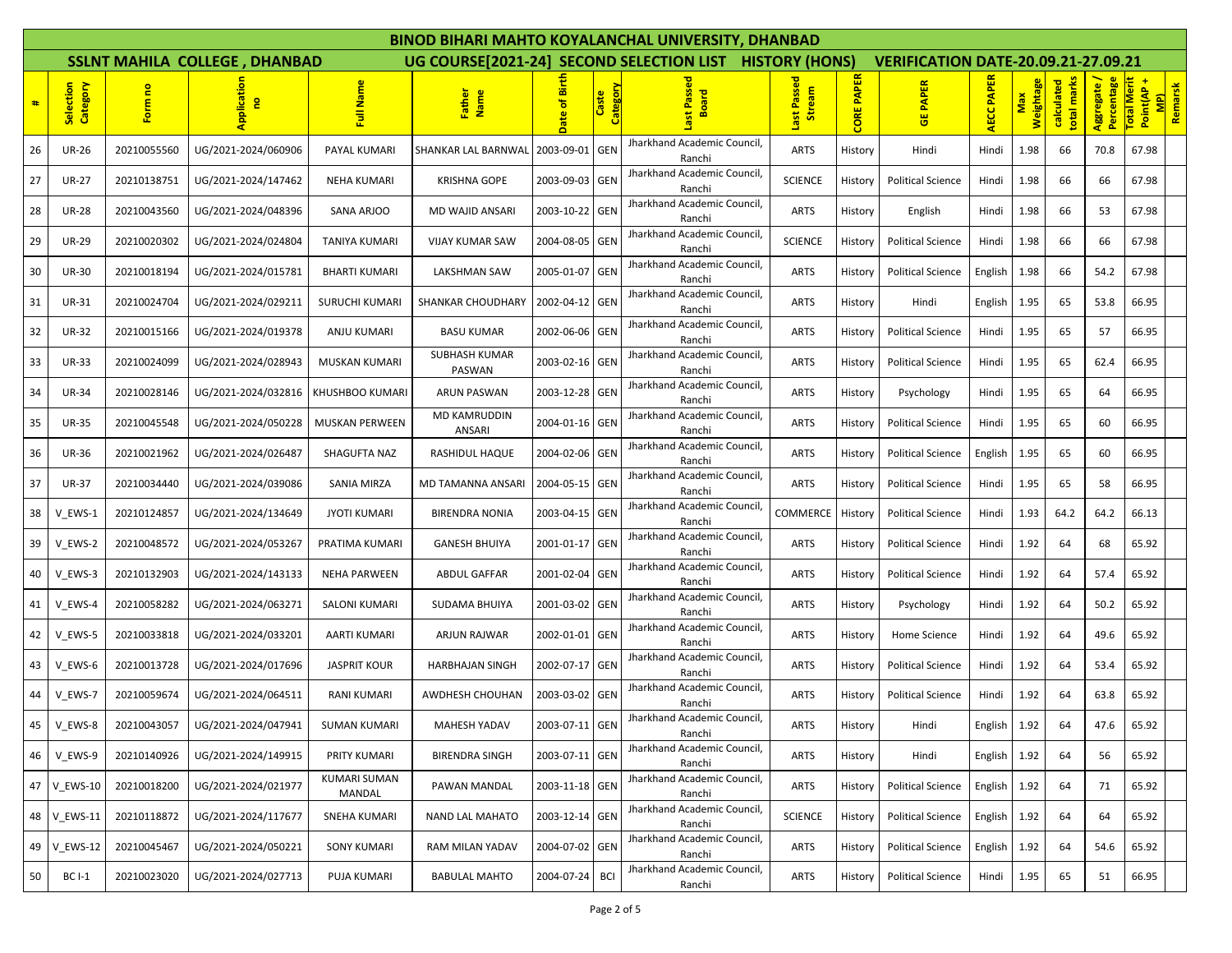|    |                       |             |                                      |                               |                                |                  |                          | BINOD BIHARI MAHTO KOYALANCHAL UNIVERSITY. DHANBAD      |                              |                   |                                            |                  |                  |                           |                         |                                              |         |  |
|----|-----------------------|-------------|--------------------------------------|-------------------------------|--------------------------------|------------------|--------------------------|---------------------------------------------------------|------------------------------|-------------------|--------------------------------------------|------------------|------------------|---------------------------|-------------------------|----------------------------------------------|---------|--|
|    |                       |             | <b>SSLNT MAHILA COLLEGE, DHANBAD</b> |                               |                                |                  |                          | UG COURSE[2021-24] SECOND SELECTION LIST HISTORY (HONS) |                              |                   | <b>VERIFICATION DATE-20.09.21-27.09.21</b> |                  |                  |                           |                         |                                              |         |  |
| #  | Category<br>Selection | Form no     | Application<br><b>e</b>              | Name<br>큹                     | Father<br>Name                 | 區<br>ិ់<br>Date  | <b>Category</b><br>Caste | Ø<br>oard<br>운<br>⋒                                     | Last Passed<br><b>Stream</b> | <b>CORE PAPER</b> | <b>PAPER</b><br>쁑                          | <b>ECC PAPER</b> | Weightage<br>Max | total marks<br>calculated | Percentage<br>Aggregate | <b>Total Merit</b><br>Point(AP+<br><b>MP</b> | Remarsk |  |
| 26 | <b>UR-26</b>          | 20210055560 | UG/2021-2024/060906                  | PAYAL KUMARI                  | SHANKAR LAL BARNWAL            | 2003-09-01       | <b>GEN</b>               | Jharkhand Academic Council,<br>Ranchi                   | <b>ARTS</b>                  | History           | Hindi                                      | Hindi            | 1.98             | 66                        | 70.8                    | 67.98                                        |         |  |
| 27 | <b>UR-27</b>          | 20210138751 | UG/2021-2024/147462                  | <b>NEHA KUMARI</b>            | <b>KRISHNA GOPE</b>            | 2003-09-03 GEN   |                          | Jharkhand Academic Council,<br>Ranchi                   | <b>SCIENCE</b>               | History           | <b>Political Science</b>                   | Hindi            | 1.98             | 66                        | 66                      | 67.98                                        |         |  |
| 28 | <b>UR-28</b>          | 20210043560 | UG/2021-2024/048396                  | SANA ARJOO                    | <b>MD WAJID ANSARI</b>         | 2003-10-22       | <b>GEN</b>               | Jharkhand Academic Council,<br>Ranchi                   | <b>ARTS</b>                  | History           | English                                    | Hindi            | 1.98             | 66                        | 53                      | 67.98                                        |         |  |
| 29 | <b>UR-29</b>          | 20210020302 | UG/2021-2024/024804                  | TANIYA KUMARI                 | VIJAY KUMAR SAW                | 2004-08-05 GEN   |                          | Jharkhand Academic Council,<br>Ranchi                   | <b>SCIENCE</b>               | History           | <b>Political Science</b>                   | Hindi            | 1.98             | 66                        | 66                      | 67.98                                        |         |  |
| 30 | <b>UR-30</b>          | 20210018194 | UG/2021-2024/015781                  | <b>BHARTI KUMARI</b>          | LAKSHMAN SAW                   | 2005-01-07 GEN   |                          | Jharkhand Academic Council,<br>Ranchi                   | <b>ARTS</b>                  | History           | <b>Political Science</b>                   | English          | 1.98             | 66                        | 54.2                    | 67.98                                        |         |  |
| 31 | UR-31                 | 20210024704 | UG/2021-2024/029211                  | SURUCHI KUMARI                | SHANKAR CHOUDHARY              | 2002-04-12 GEN   |                          | Jharkhand Academic Council,<br>Ranchi                   | <b>ARTS</b>                  | History           | Hindi                                      | English          | 1.95             | 65                        | 53.8                    | 66.95                                        |         |  |
| 32 | <b>UR-32</b>          | 20210015166 | UG/2021-2024/019378                  | ANJU KUMARI                   | <b>BASU KUMAR</b>              | 2002-06-06       | GEN                      | Jharkhand Academic Council,<br>Ranchi                   | <b>ARTS</b>                  | History           | <b>Political Science</b>                   | Hindi            | 1.95             | 65                        | 57                      | 66.95                                        |         |  |
| 33 | <b>UR-33</b>          | 20210024099 | UG/2021-2024/028943                  | <b>MUSKAN KUMARI</b>          | <b>SUBHASH KUMAR</b><br>PASWAN | 2003-02-16 GEN   |                          | Jharkhand Academic Council,<br>Ranchi                   | <b>ARTS</b>                  | History           | <b>Political Science</b>                   | Hindi            | 1.95             | 65                        | 62.4                    | 66.95                                        |         |  |
| 34 | <b>UR-34</b>          | 20210028146 | UG/2021-2024/032816                  | KHUSHBOO KUMARI               | <b>ARUN PASWAN</b>             | 2003-12-28   GEN |                          | Jharkhand Academic Council,<br>Ranchi                   | <b>ARTS</b>                  | History           | Psychology                                 | Hindi            | 1.95             | 65                        | 64                      | 66.95                                        |         |  |
| 35 | <b>UR-35</b>          | 20210045548 | UG/2021-2024/050228                  | <b>MUSKAN PERWEEN</b>         | <b>MD KAMRUDDIN</b><br>ANSARI  | 2004-01-16 GEN   |                          | Jharkhand Academic Council,<br>Ranchi                   | <b>ARTS</b>                  | History           | <b>Political Science</b>                   | Hindi            | 1.95             | 65                        | 60                      | 66.95                                        |         |  |
| 36 | <b>UR-36</b>          | 20210021962 | UG/2021-2024/026487                  | SHAGUFTA NAZ                  | <b>RASHIDUL HAQUE</b>          | 2004-02-06 GEN   |                          | Jharkhand Academic Council,<br>Ranchi                   | <b>ARTS</b>                  | History           | <b>Political Science</b>                   | English          | 1.95             | 65                        | 60                      | 66.95                                        |         |  |
| 37 | <b>UR-37</b>          | 20210034440 | UG/2021-2024/039086                  | SANIA MIRZA                   | MD TAMANNA ANSARI              | 2004-05-15 GEN   |                          | Jharkhand Academic Council,<br>Ranchi                   | <b>ARTS</b>                  | History           | <b>Political Science</b>                   | Hindi            | 1.95             | 65                        | 58                      | 66.95                                        |         |  |
| 38 | V EWS-1               | 20210124857 | UG/2021-2024/134649                  | <b>JYOTI KUMARI</b>           | <b>BIRENDRA NONIA</b>          | 2003-04-15 GEN   |                          | Jharkhand Academic Council,<br>Ranchi                   | COMMERCE                     | History           | <b>Political Science</b>                   | Hindi            | 1.93             | 64.2                      | 64.2                    | 66.13                                        |         |  |
| 39 | V_EWS-2               | 20210048572 | UG/2021-2024/053267                  | PRATIMA KUMARI                | <b>GANESH BHUIYA</b>           | 2001-01-17 GEN   |                          | Jharkhand Academic Council<br>Ranchi                    | <b>ARTS</b>                  | History           | <b>Political Science</b>                   | Hindi            | 1.92             | 64                        | 68                      | 65.92                                        |         |  |
| 40 | V EWS-3               | 20210132903 | UG/2021-2024/143133                  | <b>NEHA PARWEEN</b>           | <b>ABDUL GAFFAR</b>            | 2001-02-04       | <b>GEN</b>               | Jharkhand Academic Council,<br>Ranchi                   | <b>ARTS</b>                  | History           | <b>Political Science</b>                   | Hindi            | 1.92             | 64                        | 57.4                    | 65.92                                        |         |  |
| 41 | V_EWS-4               | 20210058282 | UG/2021-2024/063271                  | SALONI KUMARI                 | SUDAMA BHUIYA                  | 2001-03-02       | <b>GEN</b>               | Jharkhand Academic Council,<br>Ranchi                   | <b>ARTS</b>                  | History           | Psychology                                 | Hindi            | 1.92             | 64                        | 50.2                    | 65.92                                        |         |  |
| 42 | V EWS-5               | 20210033818 | UG/2021-2024/033201                  | AARTI KUMARI                  | ARJUN RAJWAR                   | 2002-01-01 GEN   |                          | Jharkhand Academic Council,<br>Ranchi                   | <b>ARTS</b>                  | History           | Home Science                               | Hindi            | 1.92             | 64                        | 49.6                    | 65.92                                        |         |  |
| 43 | V_EWS-6               | 20210013728 | UG/2021-2024/017696                  | <b>JASPRIT KOUR</b>           | <b>HARBHAJAN SINGH</b>         | 2002-07-17 GEN   |                          | Jharkhand Academic Council,<br>Ranchi                   | <b>ARTS</b>                  | History           | <b>Political Science</b>                   | Hindi            | 1.92             | 64                        | 53.4                    | 65.92                                        |         |  |
| 44 | V EWS-7               | 20210059674 | UG/2021-2024/064511                  | <b>RANI KUMARI</b>            | AWDHESH CHOUHAN                | 2003-03-02 GEN   |                          | Jharkhand Academic Council,<br>Ranchi                   | <b>ARTS</b>                  | History           | <b>Political Science</b>                   | Hindi            | 1.92             | 64                        | 63.8                    | 65.92                                        |         |  |
| 45 | $V_EWS-8$             | 20210043057 | UG/2021-2024/047941                  | <b>SUMAN KUMARI</b>           | MAHESH YADAV                   | 2003-07-11 GEN   |                          | Jharkhand Academic Council,<br>Ranchi                   | <b>ARTS</b>                  | History           | Hindi                                      | English 1.92     |                  |                           | 47.6                    | 65.92                                        |         |  |
| 46 | V EWS-9               | 20210140926 | UG/2021-2024/149915                  | PRITY KUMARI                  | <b>BIRENDRA SINGH</b>          | 2003-07-11 GEN   |                          | Jharkhand Academic Council,<br>Ranchi                   | <b>ARTS</b>                  | History           | Hindi                                      | English          | 1.92             | 64                        | 56                      | 65.92                                        |         |  |
|    | 47 V EWS-10           | 20210018200 | UG/2021-2024/021977                  | <b>KUMARI SUMAN</b><br>MANDAL | PAWAN MANDAL                   | 2003-11-18 GEN   |                          | Jharkhand Academic Council,<br>Ranchi                   | <b>ARTS</b>                  | History           | <b>Political Science</b>                   | English          | 1.92             | 64                        | 71                      | 65.92                                        |         |  |
|    | 48 V EWS-11           | 20210118872 | UG/2021-2024/117677                  | <b>SNEHA KUMARI</b>           | NAND LAL MAHATO                | 2003-12-14 GEN   |                          | Jharkhand Academic Council,<br>Ranchi                   | <b>SCIENCE</b>               | History           | <b>Political Science</b>                   | English          | 1.92             | 64                        | 64                      | 65.92                                        |         |  |
| 49 | V EWS-12              | 20210045467 | UG/2021-2024/050221                  | <b>SONY KUMARI</b>            | RAM MILAN YADAV                | 2004-07-02 GEN   |                          | Jharkhand Academic Council,<br>Ranchi                   | <b>ARTS</b>                  | History           | <b>Political Science</b>                   | English          | 1.92             | 64                        | 54.6                    | 65.92                                        |         |  |
| 50 | <b>BC I-1</b>         | 20210023020 | UG/2021-2024/027713                  | PUJA KUMARI                   | <b>BABULAL MAHTO</b>           | 2004-07-24 BCI   |                          | Jharkhand Academic Council,<br>Ranchi                   | <b>ARTS</b>                  | History           | <b>Political Science</b>                   | Hindi            | 1.95             | 65                        | 51                      | 66.95                                        |         |  |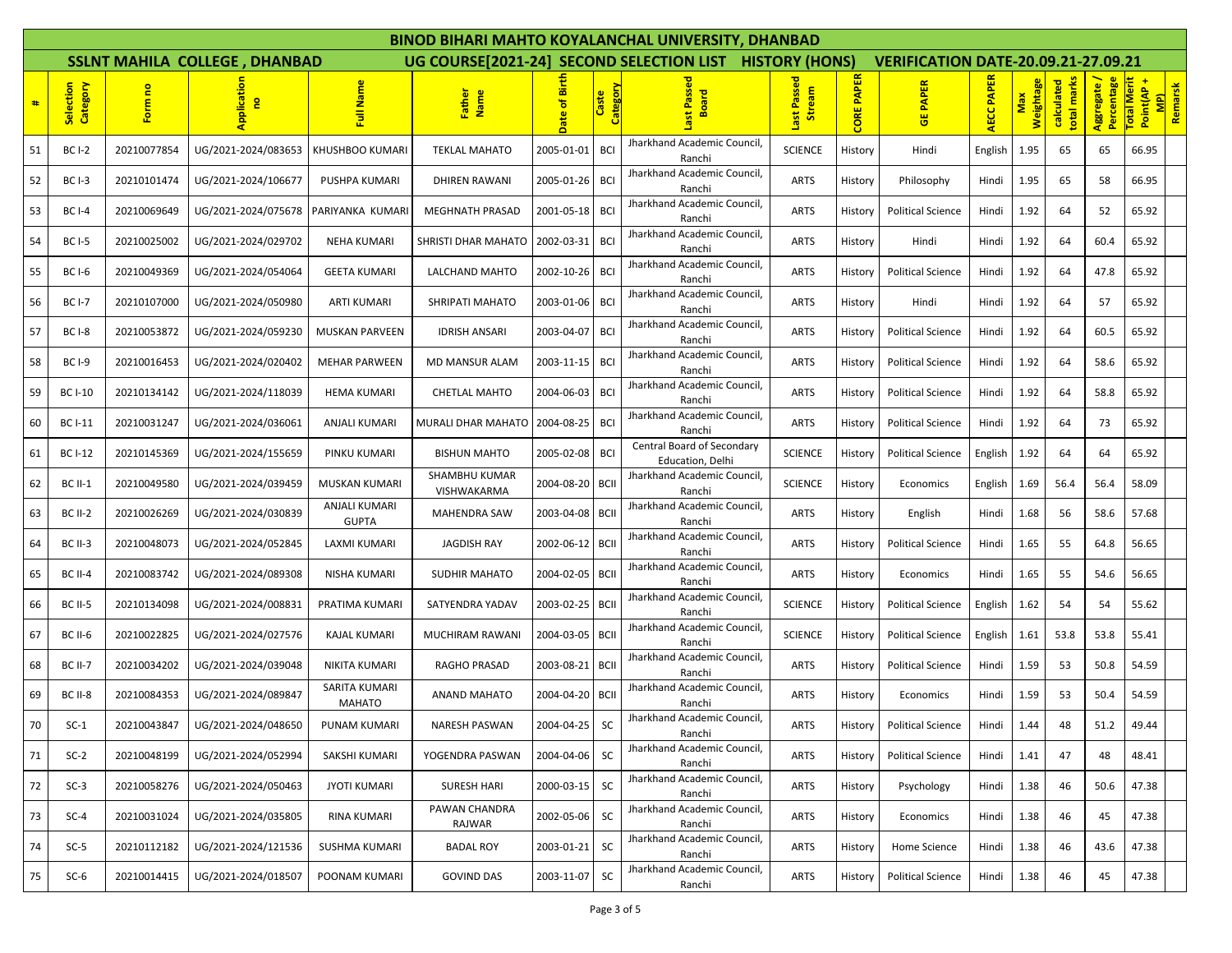|    |                       |             |                                      |                               |                              |                 |                          | BINOD BIHARI MAHTO KOYALANCHAL UNIVERSITY, DHANBAD      |                       |                   |                                            |                   |                  |                           |                         |                                  |         |
|----|-----------------------|-------------|--------------------------------------|-------------------------------|------------------------------|-----------------|--------------------------|---------------------------------------------------------|-----------------------|-------------------|--------------------------------------------|-------------------|------------------|---------------------------|-------------------------|----------------------------------|---------|
|    |                       |             | <b>SSLNT MAHILA COLLEGE, DHANBAD</b> |                               |                              |                 |                          | UG COURSE[2021-24] SECOND SELECTION LIST HISTORY (HONS) |                       |                   | <b>VERIFICATION DATE-20.09.21-27.09.21</b> |                   |                  |                           |                         |                                  |         |
| #  | Category<br>Selection | Form no     | Application<br>g                     | Name<br>度                     | Father<br>Name               | 區<br>ិ÷<br>Date | <b>Category</b><br>Caste | Ø<br>oard<br>置<br>œ                                     | Last Passed<br>Stream | <b>CORE PAPER</b> | <b>PAPER</b><br>ី                          | <b>AECC PAPER</b> | Weightage<br>Max | total marks<br>calculated | Percentage<br>Aggregate | Total Merit<br>Point(AP +<br>MP) | Remarsk |
| 51 | <b>BC I-2</b>         | 20210077854 | UG/2021-2024/083653                  | KHUSHBOO KUMARI               | <b>TEKLAL MAHATO</b>         | 2005-01-01      | <b>BCI</b>               | Jharkhand Academic Council,<br>Ranchi                   | <b>SCIENCE</b>        | History           | Hindi                                      | English           | 1.95             | 65                        | 65                      | 66.95                            |         |
| 52 | <b>BC I-3</b>         | 20210101474 | UG/2021-2024/106677                  | PUSHPA KUMARI                 | <b>DHIREN RAWANI</b>         | 2005-01-26      | <b>BCI</b>               | Jharkhand Academic Council,<br>Ranchi                   | <b>ARTS</b>           | History           | Philosophy                                 | Hindi             | 1.95             | 65                        | 58                      | 66.95                            |         |
| 53 | <b>BC I-4</b>         | 20210069649 | UG/2021-2024/075678                  | PARIYANKA KUMARI              | <b>MEGHNATH PRASAD</b>       | 2001-05-18      | <b>BCI</b>               | Jharkhand Academic Council,<br>Ranchi                   | <b>ARTS</b>           | History           | <b>Political Science</b>                   | Hindi             | 1.92             | 64                        | 52                      | 65.92                            |         |
| 54 | <b>BC I-5</b>         | 20210025002 | UG/2021-2024/029702                  | <b>NEHA KUMARI</b>            | SHRISTI DHAR MAHATO          | 2002-03-31      | - BCI                    | Jharkhand Academic Council,<br>Ranchi                   | <b>ARTS</b>           | History           | Hindi                                      | Hindi             | 1.92             | 64                        | 60.4                    | 65.92                            |         |
| 55 | <b>BC I-6</b>         | 20210049369 | UG/2021-2024/054064                  | <b>GEETA KUMARI</b>           | LALCHAND MAHTO               | 2002-10-26      | - BCI                    | Jharkhand Academic Council,<br>Ranchi                   | <b>ARTS</b>           | History           | <b>Political Science</b>                   | Hindi             | 1.92             | 64                        | 47.8                    | 65.92                            |         |
| 56 | <b>BC I-7</b>         | 20210107000 | UG/2021-2024/050980                  | <b>ARTI KUMARI</b>            | SHRIPATI MAHATO              | 2003-01-06      | <b>BCI</b>               | Jharkhand Academic Council,<br>Ranchi                   | <b>ARTS</b>           | History           | Hindi                                      | Hindi             | 1.92             | 64                        | 57                      | 65.92                            |         |
| 57 | <b>BC I-8</b>         | 20210053872 | UG/2021-2024/059230                  | <b>MUSKAN PARVEEN</b>         | <b>IDRISH ANSARI</b>         | 2003-04-07      | BCI                      | Jharkhand Academic Council,<br>Ranchi                   | <b>ARTS</b>           | History           | <b>Political Science</b>                   | Hindi             | 1.92             | 64                        | 60.5                    | 65.92                            |         |
| 58 | <b>BC I-9</b>         | 20210016453 | UG/2021-2024/020402                  | <b>MEHAR PARWEEN</b>          | <b>MD MANSUR ALAM</b>        | 2003-11-15      | <b>BCI</b>               | Jharkhand Academic Council,<br>Ranchi                   | <b>ARTS</b>           | History           | <b>Political Science</b>                   | Hindi             | 1.92             | 64                        | 58.6                    | 65.92                            |         |
| 59 | <b>BC I-10</b>        | 20210134142 | UG/2021-2024/118039                  | <b>HEMA KUMARI</b>            | <b>CHETLAL MAHTO</b>         | 2004-06-03      | <b>BCI</b>               | Jharkhand Academic Council,<br>Ranchi                   | <b>ARTS</b>           | History           | <b>Political Science</b>                   | Hindi             | 1.92             | 64                        | 58.8                    | 65.92                            |         |
| 60 | <b>BC I-11</b>        | 20210031247 | UG/2021-2024/036061                  | <b>ANJALI KUMARI</b>          | MURALI DHAR MAHATO           | 2004-08-25      | <b>BCI</b>               | Jharkhand Academic Council,<br>Ranchi                   | <b>ARTS</b>           | History           | <b>Political Science</b>                   | Hindi             | 1.92             | 64                        | 73                      | 65.92                            |         |
| 61 | <b>BC I-12</b>        | 20210145369 | UG/2021-2024/155659                  | PINKU KUMARI                  | <b>BISHUN MAHTO</b>          | 2005-02-08      | <b>BCI</b>               | Central Board of Secondary<br>Education, Delhi          | <b>SCIENCE</b>        | History           | <b>Political Science</b>                   | English           | 1.92             | 64                        | 64                      | 65.92                            |         |
| 62 | <b>BC II-1</b>        | 20210049580 | UG/2021-2024/039459                  | <b>MUSKAN KUMARI</b>          | SHAMBHU KUMAR<br>VISHWAKARMA | 2004-08-20      | <b>BCII</b>              | Jharkhand Academic Council,<br>Ranchi                   | <b>SCIENCE</b>        | History           | Economics                                  | English           | 1.69             | 56.4                      | 56.4                    | 58.09                            |         |
| 63 | <b>BC II-2</b>        | 20210026269 | UG/2021-2024/030839                  | ANJALI KUMARI<br><b>GUPTA</b> | MAHENDRA SAW                 | 2003-04-08      | <b>BCII</b>              | Jharkhand Academic Council,<br>Ranchi                   | <b>ARTS</b>           | History           | English                                    | Hindi             | 1.68             | 56                        | 58.6                    | 57.68                            |         |
| 64 | <b>BC II-3</b>        | 20210048073 | UG/2021-2024/052845                  | LAXMI KUMARI                  | <b>JAGDISH RAY</b>           | 2002-06-12      | <b>BCII</b>              | Jharkhand Academic Council,<br>Ranchi                   | <b>ARTS</b>           | History           | <b>Political Science</b>                   | Hindi             | 1.65             | 55                        | 64.8                    | 56.65                            |         |
| 65 | <b>BC II-4</b>        | 20210083742 | UG/2021-2024/089308                  | NISHA KUMARI                  | <b>SUDHIR MAHATO</b>         | 2004-02-05      | <b>BCII</b>              | Jharkhand Academic Council,<br>Ranchi                   | <b>ARTS</b>           | History           | Economics                                  | Hindi             | 1.65             | 55                        | 54.6                    | 56.65                            |         |
| 66 | <b>BC II-5</b>        | 20210134098 | UG/2021-2024/008831                  | PRATIMA KUMARI                | SATYENDRA YADAV              | 2003-02-25      | <b>BCII</b>              | Jharkhand Academic Council,<br>Ranchi                   | <b>SCIENCE</b>        | History           | <b>Political Science</b>                   | English           | 1.62             | 54                        | 54                      | 55.62                            |         |
| 67 | <b>BC II-6</b>        | 20210022825 | UG/2021-2024/027576                  | <b>KAJAL KUMARI</b>           | MUCHIRAM RAWANI              | 2004-03-05      | <b>BCII</b>              | Jharkhand Academic Council<br>Ranchi                    | <b>SCIENCE</b>        | History           | <b>Political Science</b>                   | English           | 1.61             | 53.8                      | 53.8                    | 55.41                            |         |
| 68 | <b>BC II-7</b>        | 20210034202 | UG/2021-2024/039048                  | NIKITA KUMARI                 | <b>RAGHO PRASAD</b>          | 2003-08-21      | <b>BCII</b>              | Jharkhand Academic Council,<br>Ranchi                   | <b>ARTS</b>           | History           | <b>Political Science</b>                   | Hindi             | 1.59             | 53                        | 50.8                    | 54.59                            |         |
| 69 | BC II-8               | 20210084353 | UG/2021-2024/089847                  | SARITA KUMARI<br>MAHATO       | <b>ANAND MAHATO</b>          | 2004-04-20      | <b>BCII</b>              | Jharkhand Academic Council,<br>Ranchi                   | <b>ARTS</b>           | History           | Economics                                  | Hindi             | 1.59             | 53                        | 50.4                    | 54.59                            |         |
| 70 | $SC-1$                | 20210043847 | UG/2021-2024/048650                  | PUNAM KUMARI                  | NARESH PASWAN                | 2004-04-25      | SC                       | Jharkhand Academic Council,<br>Ranchi                   | <b>ARTS</b>           | History           | Political Science                          | Hindi             | 1.44             | 48                        | 51.2                    | 49.44                            |         |
| 71 | $SC-2$                | 20210048199 | UG/2021-2024/052994                  | SAKSHI KUMARI                 | YOGENDRA PASWAN              | 2004-04-06      | <b>SC</b>                | Jharkhand Academic Council,<br>Ranchi                   | <b>ARTS</b>           | History           | <b>Political Science</b>                   | Hindi             | 1.41             | 47                        | 48                      | 48.41                            |         |
| 72 | $SC-3$                | 20210058276 | UG/2021-2024/050463                  | <b>JYOTI KUMARI</b>           | <b>SURESH HARI</b>           | 2000-03-15      | <b>SC</b>                | Jharkhand Academic Council,<br>Ranchi                   | <b>ARTS</b>           | History           | Psychology                                 | Hindi             | 1.38             | 46                        | 50.6                    | 47.38                            |         |
| 73 | $SC-4$                | 20210031024 | UG/2021-2024/035805                  | RINA KUMARI                   | PAWAN CHANDRA<br>RAJWAR      | 2002-05-06      | <b>SC</b>                | Jharkhand Academic Council,<br>Ranchi                   | <b>ARTS</b>           | History           | Economics                                  | Hindi             | 1.38             | 46                        | 45                      | 47.38                            |         |
| 74 | $SC-5$                | 20210112182 | UG/2021-2024/121536                  | SUSHMA KUMARI                 | <b>BADAL ROY</b>             | 2003-01-21      | <b>SC</b>                | Jharkhand Academic Council,<br>Ranchi                   | <b>ARTS</b>           | History           | Home Science                               | Hindi             | 1.38             | 46                        | 43.6                    | 47.38                            |         |
| 75 | $SC-6$                | 20210014415 | UG/2021-2024/018507                  | POONAM KUMARI                 | <b>GOVIND DAS</b>            | 2003-11-07      | <b>SC</b>                | Jharkhand Academic Council,<br>Ranchi                   | <b>ARTS</b>           | History           | <b>Political Science</b>                   | Hindi             | 1.38             | 46                        | 45                      | 47.38                            |         |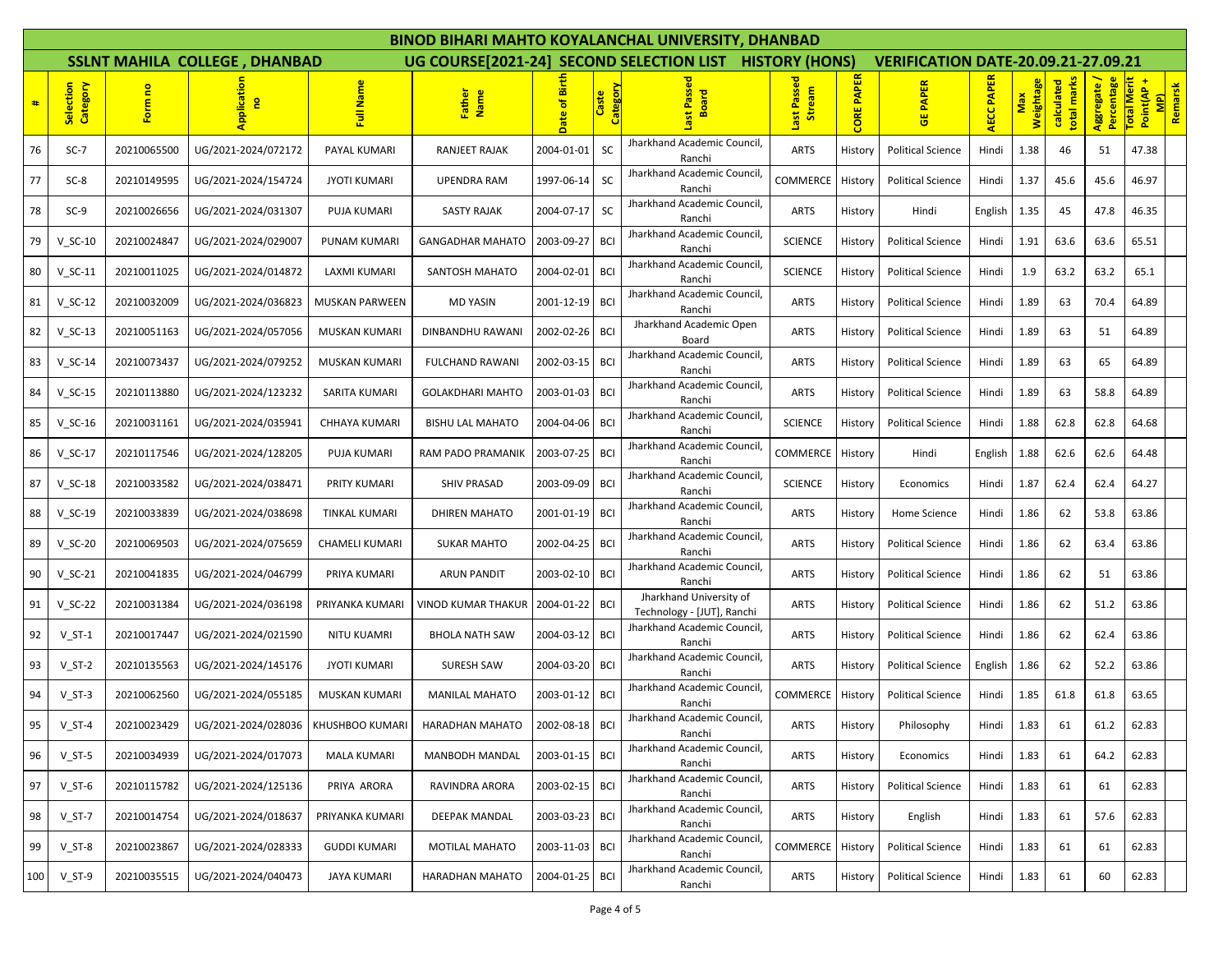|     |                       |             |                                      |                       |                           |                   |                          | BINOD BIHARI MAHTO KOYALANCHAL UNIVERSITY, DHANBAD      |                       |                   |                                            |                   |                         |                           |                           |                                            |
|-----|-----------------------|-------------|--------------------------------------|-----------------------|---------------------------|-------------------|--------------------------|---------------------------------------------------------|-----------------------|-------------------|--------------------------------------------|-------------------|-------------------------|---------------------------|---------------------------|--------------------------------------------|
|     |                       |             | <b>SSLNT MAHILA COLLEGE, DHANBAD</b> |                       |                           |                   |                          | UG COURSE[2021-24] SECOND SELECTION LIST HISTORY (HONS) |                       |                   | <b>VERIFICATION DATE-20.09.21-27.09.21</b> |                   |                         |                           |                           |                                            |
| #   | Selection<br>Category | Form no     | pplication<br>g                      | Full Name             | Father<br>Name            | 區<br>۵Ë<br>ε<br>g | <b>Category</b><br>Caste | Ŵ<br><b>Board</b>                                       | Last Passed<br>Stream | <b>CORE PAPER</b> | <b>PAPER</b><br>ី                          | <b>AECC PAPER</b> | <b>Weightage</b><br>Max | total marks<br>calculated | Aggregate /<br>Percentage | Total Merit<br>Point(AP+<br>MP)<br>Remarsk |
| 76  | $SC-7$                | 20210065500 | UG/2021-2024/072172                  | PAYAL KUMARI          | RANJEET RAJAK             | 2004-01-01        | <b>SC</b>                | Jharkhand Academic Council,<br>Ranchi                   | <b>ARTS</b>           | History           | <b>Political Science</b>                   | Hindi             | 1.38                    | 46                        | 51                        | 47.38                                      |
| 77  | $SC-8$                | 20210149595 | UG/2021-2024/154724                  | <b>JYOTI KUMARI</b>   | <b>UPENDRA RAM</b>        | 1997-06-14        | SC                       | Jharkhand Academic Council,<br>Ranchi                   | COMMERCE              | History           | <b>Political Science</b>                   | Hindi             | 1.37                    | 45.6                      | 45.6                      | 46.97                                      |
| 78  | $SC-9$                | 20210026656 | UG/2021-2024/031307                  | PUJA KUMARI           | <b>SASTY RAJAK</b>        | 2004-07-17        | <b>SC</b>                | Jharkhand Academic Council,<br>Ranchi                   | <b>ARTS</b>           | History           | Hindi                                      | English           | 1.35                    | 45                        | 47.8                      | 46.35                                      |
| 79  | $V_S$ C-10            | 20210024847 | UG/2021-2024/029007                  | <b>PUNAM KUMARI</b>   | <b>GANGADHAR MAHATO</b>   | 2003-09-27        | <b>BCI</b>               | Jharkhand Academic Council,<br>Ranchi                   | <b>SCIENCE</b>        | History           | <b>Political Science</b>                   | Hindi             | 1.91                    | 63.6                      | 63.6                      | 65.51                                      |
| 80  | $V$ SC-11             | 20210011025 | UG/2021-2024/014872                  | LAXMI KUMARI          | SANTOSH MAHATO            | 2004-02-01        | <b>BCI</b>               | Jharkhand Academic Council,<br>Ranchi                   | <b>SCIENCE</b>        | History           | <b>Political Science</b>                   | Hindi             | 1.9                     | 63.2                      | 63.2                      | 65.1                                       |
| 81  | $V_S$ C-12            | 20210032009 | UG/2021-2024/036823                  | <b>MUSKAN PARWEEN</b> | <b>MD YASIN</b>           | 2001-12-19        | <b>BCI</b>               | Jharkhand Academic Council,<br>Ranchi                   | <b>ARTS</b>           | History           | <b>Political Science</b>                   | Hindi             | 1.89                    | 63                        | 70.4                      | 64.89                                      |
| 82  | $V$ SC-13             | 20210051163 | UG/2021-2024/057056                  | MUSKAN KUMARI         | DINBANDHU RAWANI          | 2002-02-26        | <b>BCI</b>               | Jharkhand Academic Open<br>Board                        | <b>ARTS</b>           | History           | <b>Political Science</b>                   | Hindi             | 1.89                    | 63                        | 51                        | 64.89                                      |
| 83  | $V_SC-14$             | 20210073437 | UG/2021-2024/079252                  | <b>MUSKAN KUMARI</b>  | <b>FULCHAND RAWANI</b>    | 2002-03-15        | <b>BCI</b>               | Jharkhand Academic Council,<br>Ranchi                   | <b>ARTS</b>           | History           | <b>Political Science</b>                   | Hindi             | 1.89                    | 63                        | 65                        | 64.89                                      |
| 84  | $V_SC-15$             | 20210113880 | UG/2021-2024/123232                  | <b>SARITA KUMARI</b>  | <b>GOLAKDHARI MAHTO</b>   | 2003-01-03 BCI    |                          | Jharkhand Academic Council,<br>Ranchi                   | <b>ARTS</b>           | History           | <b>Political Science</b>                   | Hindi             | 1.89                    | 63                        | 58.8                      | 64.89                                      |
| 85  | $V_SC-16$             | 20210031161 | UG/2021-2024/035941                  | CHHAYA KUMARI         | <b>BISHU LAL MAHATO</b>   | 2004-04-06        | <b>BCI</b>               | Jharkhand Academic Council,<br>Ranchi                   | <b>SCIENCE</b>        | History           | <b>Political Science</b>                   | Hindi             | 1.88                    | 62.8                      | 62.8                      | 64.68                                      |
| 86  | $V_SC-17$             | 20210117546 | UG/2021-2024/128205                  | PUJA KUMARI           | RAM PADO PRAMANIK         | 2003-07-25        | <b>BCI</b>               | Jharkhand Academic Council<br>Ranchi                    | COMMERCE              | History           | Hindi                                      | English           | 1.88                    | 62.6                      | 62.6                      | 64.48                                      |
| 87  | $V_SC-18$             | 20210033582 | UG/2021-2024/038471                  | PRITY KUMARI          | <b>SHIV PRASAD</b>        | 2003-09-09        | <b>BCI</b>               | Jharkhand Academic Council,<br>Ranchi                   | <b>SCIENCE</b>        | History           | Economics                                  | Hindi             | 1.87                    | 62.4                      | 62.4                      | 64.27                                      |
| 88  | $V$ SC-19             | 20210033839 | UG/2021-2024/038698                  | TINKAL KUMARI         | DHIREN MAHATO             | 2001-01-19        | <b>BCI</b>               | Jharkhand Academic Council,<br>Ranchi                   | <b>ARTS</b>           | History           | Home Science                               | Hindi             | 1.86                    | 62                        | 53.8                      | 63.86                                      |
| 89  | $V_SC-20$             | 20210069503 | UG/2021-2024/075659                  | CHAMELI KUMARI        | <b>SUKAR MAHTO</b>        | 2002-04-25        | <b>BCI</b>               | Jharkhand Academic Council,<br>Ranchi                   | <b>ARTS</b>           | History           | <b>Political Science</b>                   | Hindi             | 1.86                    | 62                        | 63.4                      | 63.86                                      |
| 90  | $V_SC-21$             | 20210041835 | UG/2021-2024/046799                  | PRIYA KUMARI          | <b>ARUN PANDIT</b>        | 2003-02-10        | <b>BCI</b>               | Jharkhand Academic Council,<br>Ranchi                   | <b>ARTS</b>           | History           | <b>Political Science</b>                   | Hindi             | 1.86                    | 62                        | 51                        | 63.86                                      |
| 91  | $V_SC-22$             | 20210031384 | UG/2021-2024/036198                  | PRIYANKA KUMARI       | <b>VINOD KUMAR THAKUR</b> | 2004-01-22        | <b>BCI</b>               | Jharkhand University of<br>Technology - [JUT], Ranchi   | <b>ARTS</b>           | History           | <b>Political Science</b>                   | Hindi             | 1.86                    | 62                        | 51.2                      | 63.86                                      |
| 92  | $V_S$ T-1             | 20210017447 | UG/2021-2024/021590                  | NITU KUAMRI           | <b>BHOLA NATH SAW</b>     | 2004-03-12   BCI  |                          | Jharkhand Academic Council,<br>Ranchi                   | <b>ARTS</b>           | History           | <b>Political Science</b>                   | Hindi             | 1.86                    | 62                        | 62.4                      | 63.86                                      |
| 93  | $V_S$ T-2             | 20210135563 | UG/2021-2024/145176                  | <b>JYOTI KUMARI</b>   | <b>SURESH SAW</b>         | 2004-03-20        | <b>BCI</b>               | Jharkhand Academic Council,<br>Ranchi                   | <b>ARTS</b>           | History           | <b>Political Science</b>                   | English           | 1.86                    | 62                        | 52.2                      | 63.86                                      |
| 94  | $V_S$ T-3             | 20210062560 | UG/2021-2024/055185                  | <b>MUSKAN KUMARI</b>  | <b>MANILAL MAHATO</b>     | 2003-01-12        | <b>BCI</b>               | Jharkhand Academic Council,<br>Ranchi                   | COMMERCE              | History           | <b>Political Science</b>                   | Hindi             | 1.85                    | 61.8                      | 61.8                      | 63.65                                      |
| 95  | $V_S$ T-4             | 20210023429 | UG/2021-2024/028036                  | KHUSHBOO KUMARI       | HARADHAN MAHATO           | 2002-08-18        | <b>BCI</b>               | Jharkhand Academic Council,<br>Ranchi                   | <b>ARTS</b>           | History           | Philosophy                                 | Hindi             | 1.83                    | 61                        | 61.2                      | 62.83                                      |
| 96  | $V_S$ T-5             | 20210034939 | UG/2021-2024/017073                  | <b>MALA KUMARI</b>    | MANBODH MANDAL            | 2003-01-15 BCI    |                          | Jharkhand Academic Council,<br>Ranchi                   | <b>ARTS</b>           | History           | Economics                                  | Hindi             | 1.83                    | 61                        | 64.2                      | 62.83                                      |
| 97  | $V$ ST-6              | 20210115782 | UG/2021-2024/125136                  | PRIYA ARORA           | RAVINDRA ARORA            | 2003-02-15        | <b>BCI</b>               | Jharkhand Academic Council,<br>Ranchi                   | <b>ARTS</b>           | History           | <b>Political Science</b>                   | Hindi             | 1.83                    | 61                        | 61                        | 62.83                                      |
| 98  | $V_S$ T-7             | 20210014754 | UG/2021-2024/018637                  | PRIYANKA KUMARI       | DEEPAK MANDAL             | 2003-03-23        | <b>BCI</b>               | Jharkhand Academic Council,<br>Ranchi                   | <b>ARTS</b>           | History           | English                                    | Hindi             | 1.83                    | 61                        | 57.6                      | 62.83                                      |
| 99  | $V_S$ T-8             | 20210023867 | UG/2021-2024/028333                  | <b>GUDDI KUMARI</b>   | MOTILAL MAHATO            | 2003-11-03        | <b>BCI</b>               | Jharkhand Academic Council,<br>Ranchi                   | COMMERCE              | History           | <b>Political Science</b>                   | Hindi             | 1.83                    | 61                        | 61                        | 62.83                                      |
| 100 | $V_S$ T-9             | 20210035515 | UG/2021-2024/040473                  | JAYA KUMARI           | HARADHAN MAHATO           | 2004-01-25        | <b>BCI</b>               | Jharkhand Academic Council,<br>Ranchi                   | <b>ARTS</b>           | History           | <b>Political Science</b>                   | Hindi             | 1.83                    | 61                        | 60                        | 62.83                                      |